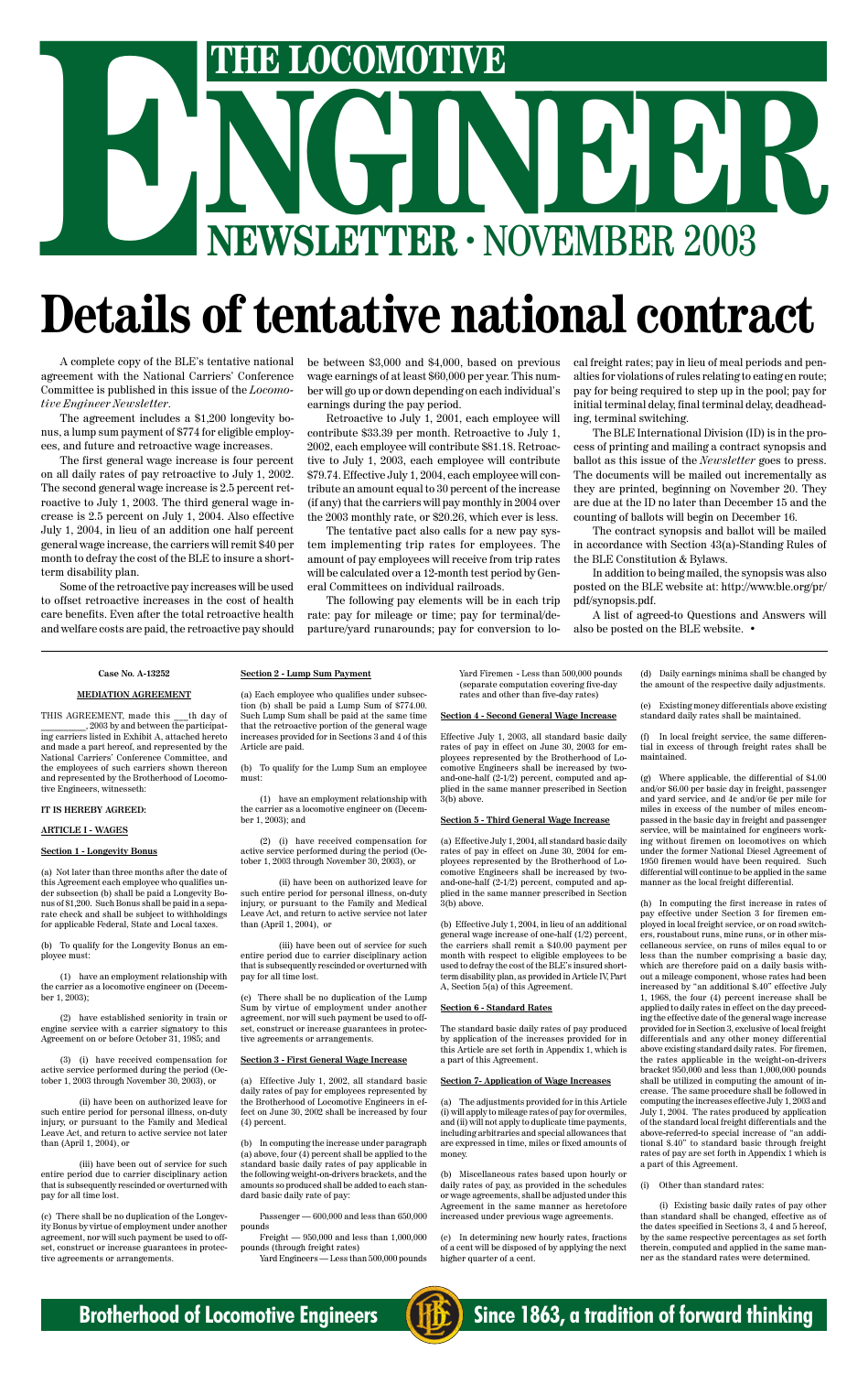

# NGINEER - NOVEMBER 2003 **EXECUTE LOCOMOTIVE**<br> **EXECUTER · NOVEMBER 2003**<br> **Details of tentative national contra**

## **Details of tentative national contract**

#### **Case No. A-13252**

#### **MEDIATION AGREEMENT**

THIS AGREEMENT, made this \_\_\_th day of , 2003 by and between the participating carriers listed in Exhibit A, attached hereto and made a part hereof, and represented by the National Carriers' Conference Committee, and the employees of such carriers shown thereon and represented by the Brotherhood of Locomotive Engineers, witnesseth:

#### **IT IS HEREBY AGREED:**

#### **ARTICLE I - WAGES**

#### **Section 1 - Longevity Bonus**

(a) Not later than three months after the date of this Agreement each employee who qualifies under subsection (b) shall be paid a Longevity Bonus of \$1,200. Such Bonus shall be paid in a separate check and shall be subject to withholdings for applicable Federal, State and Local taxes.

(b) To qualify for the Longevity Bonus an employee must:

(1) have an employment relationship with the carrier as a locomotive engineer on (December 1, 2003);

(2) have established seniority in train or engine service with a carrier signatory to this Agreement on or before October 31, 1985; and

(3) (i) have received compensation for active service performed during the period (October 1, 2003 through November 30, 2003), or

(ii) have been on authorized leave for such entire period for personal illness, on-duty injury, or pursuant to the Family and Medical Leave Act, and return to active service not later than (April 1, 2004), or

(iii) have been out of service for such entire period due to carrier disciplinary action that is subsequently rescinded or overturned with pay for all time lost.

In computing the increase under paragraph (a) above, four (4) percent shall be applied to the standard basic daily rates of pay applicable in the following weight-on-drivers brackets, and the amounts so produced shall be added to each standard basic daily rate of pay:

(c) There shall be no duplication of the Longevity Bonus by virtue of employment under another agreement, nor will such payment be used to offset, construct or increase guarantees in protective agreements or arrangements.

#### **Section 2 - Lump Sum Payment**

(a) Each employee who qualifies under subsection (b) shall be paid a Lump Sum of \$774.00. Such Lump Sum shall be paid at the same time that the retroactive portion of the general wage increases provided for in Sections 3 and 4 of this Article are paid.

(b) To qualify for the Lump Sum an employee must:

(1) have an employment relationship with the carrier as a locomotive engineer on (December 1, 2003); and

(2) (i) have received compensation for active service performed during the period (October 1, 2003 through November 30, 2003), or

(ii) have been on authorized leave for such entire period for personal illness, on-duty injury, or pursuant to the Family and Medical Leave Act, and return to active service not later than (April 1, 2004), or

(iii) have been out of service for such entire period due to carrier disciplinary action that is subsequently rescinded or overturned with pay for all time lost.

(c) There shall be no duplication of the Lump by virtue of emp agreement, nor will such payment be used to offset, construct or increase guarantees in protective agreements or arrangements.

In local freight service, the same differential in excess of through freight rates shall be maintained.

#### **Section 3 - First General Wage Increase**

(a) Effective July 1, 2002, all standard basic daily rates of pay for employees represented by the Brotherhood of Locomotive Engineers in effect on June 30, 2002 shall be increased by four (4) percent.

Passenger — 600,000 and less than 650,000 pounds

Freight — 950,000 and less than 1,000,000 pounds (through freight rates)

Yard Engineers — Less than 500,000 pounds

Yard Firemen - Less than 500,000 pounds (separate computation covering five-day rates and other than five-day rates)

#### **Section 4 - Second General Wage Increase**

Effective July 1, 2003, all standard basic daily rates of pay in effect on June 30, 2003 for employees represented by the Brotherhood of Locomotive Engineers shall be increased by twoand-one-half (2-1/2) percent, computed and applied in the same manner prescribed in Section 3(b) above.

#### **Section 5 - Third General Wage Increase**

(a) Effective July 1, 2004, all standard basic daily rates of pay in effect on June 30, 2004 for employees represented by the Brotherhood of Locomotive Engineers shall be increased by twoand-one-half (2-1/2) percent, computed and applied in the same manner prescribed in Section 3(b) above.

(b) Effective July 1, 2004, in lieu of an additional general wage increase of one-half (1/2) percent, the carriers shall remit a \$40.00 payment per month with respect to eligible employees to be used to defray the cost of the BLE's insured shortterm disability plan, as provided in Article IV, Part A, Section 5(a) of this Agreement.

#### **Standard**

The standard basic daily rates of pay produced by application of the increases provided for in this Article are set forth in Appendix 1, which is a part of this Agreement.

#### **Section 7- Application of Wage Increases**

(a) The adjustments provided for in this Article (i) will apply to mileage rates of pay for overmiles, and (ii) will not apply to duplicate time payments, including arbitraries and special allowances that are expressed in time, miles or fixed amounts of money.

(b) Miscellaneous rates based upon hourly or daily rates of pay, as provided in the schedules or wage agreements, shall be adjusted under this Agreement in the same manner as heretofore increased under previous wage agreements.

(c) In determining new hourly rates, fractions of a cent will be disposed of by applying the next higher quarter of a cent.

(d) Daily earnings minima shall be changed by the amount of the respective daily adjustments.

(e) Existing money differentials above existing standard daily rates shall be maintained.

(g) Where applicable, the differential of \$4.00 and/or \$6.00 per basic day in freight, passenger and yard service, and 4¢ and/or 6¢ per mile for miles in excess of the number of miles encompassed in the basic day in freight and passenger service, will be maintained for engineers working without firemen on locomotives on which under the former National Diesel Agreement of 1950 firemen would have been required. Such differential will continue to be applied in the same manner as the local freight differential.

(h) In computing the first increase in rates of pay effective under Section 3 for firemen employed in local freight service, or on road switchers, roustabout runs, mine runs, or in other miscellaneous service, on runs of miles equal to or less than the number comprising a basic day, which are therefore paid on a daily basis without a mileage component, whose rates had been increased by "an additional \$.40" effective July 1, 1968, the four (4) percent increase shall be applied to daily rates in effect on the day preceding the effective date of the general wage increase provided for in Section 3, exclusive of local freight differentials and any other money differential above existing standard daily rates. For firemen, the rates applicable in the weight-on-drivers bracket 950,000 and less than 1,000,000 pounds shall be utilized in computing the amount of increase. The same procedure shall be followed in computing the increases effective July 1, 2003 and July 1, 2004. The rates produced by application of the standard local freight differentials and the above-referred-to special increase of "an additional \$.40" to standard basic through freight rates of pay are set forth in Appendix 1 which is a part of this Agreement.

(i) Other than standard rates:

(i) Existing basic daily rates of pay other than standard shall be changed, effective as of the dates specified in Sections 3, 4 and 5 hereof, by the same respective percentages as set forth therein, computed and applied in the same manner as the standard rates were determined.

A complete copy of the BLE's tentative national agreement with the National Carriers' Conference Committee is published in this issue of the *Locomotive Engineer Newsletter*.

The agreement includes a \$1,200 longevity bonus, a lump sum payment of \$774 for eligible employees, and future and retroactive wage increases.

The first general wage increase is four percent on all daily rates of pay retroactive to July 1, 2002. The second general wage increase is 2.5 percent retroactive to July 1, 2003. The third general wage increase is 2.5 percent on July 1, 2004. Also effective July 1, 2004, in lieu of an addition one half percent general wage increase, the carriers will remit \$40 per month to defray the cost of the BLE to insure a shortterm disability plan.

Some of the retroactive pay increases will be used to offset retroactive increases in the cost of health care benefits. Even after the total retroactive health and welfare costs are paid, the retroactive pay should

be between \$3,000 and \$4,000, based on previous wage earnings of at least \$60,000 per year. This number will go up or down depending on each individual's earnings during the pay period.

Retroactive to July 1, 2001, each employee will contribute \$33.39 per month. Retroactive to July 1, 2002, each employee will contribute \$81.18. Retroactive to July 1, 2003, each employee will contribute \$79.74. Effective July 1, 2004, each employee will contribute an amount equal to 30 percent of the increase (if any) that the carriers will pay monthly in 2004 over the 2003 monthly rate, or \$20.26, which ever is less.

The tentative pact also calls for a new pay system implementing trip rates for employees. The amount of pay employees will receive from trip rates will be calculated over a 12-month test period by General Committees on individual railroads.

The following pay elements will be in each trip rate: pay for mileage or time; pay for terminal/departure/yard runarounds; pay for conversion to local freight rates; pay in lieu of meal periods and penalties for violations of rules relating to eating en route; pay for being required to step up in the pool; pay for initial terminal delay, final terminal delay, deadheading, terminal switching.

The BLE International Division (ID) is in the process of printing and mailing a contract synopsis and ballot as this issue of the *Newsletter* goes to press. The documents will be mailed out incrementally as they are printed, beginning on November 20. They are due at the ID no later than December 15 and the counting of ballots will begin on December 16.

The contract synopsis and ballot will be mailed in accordance with Section 43(a)-Standing Rules of the BLE Constitution & Bylaws.

In addition to being mailed, the synopsis was also posted on the BLE website at: http://www.ble.org/pr/ pdf/synopsis.pdf.

A list of agreed-to Questions and Answers will also be posted on the BLE website. •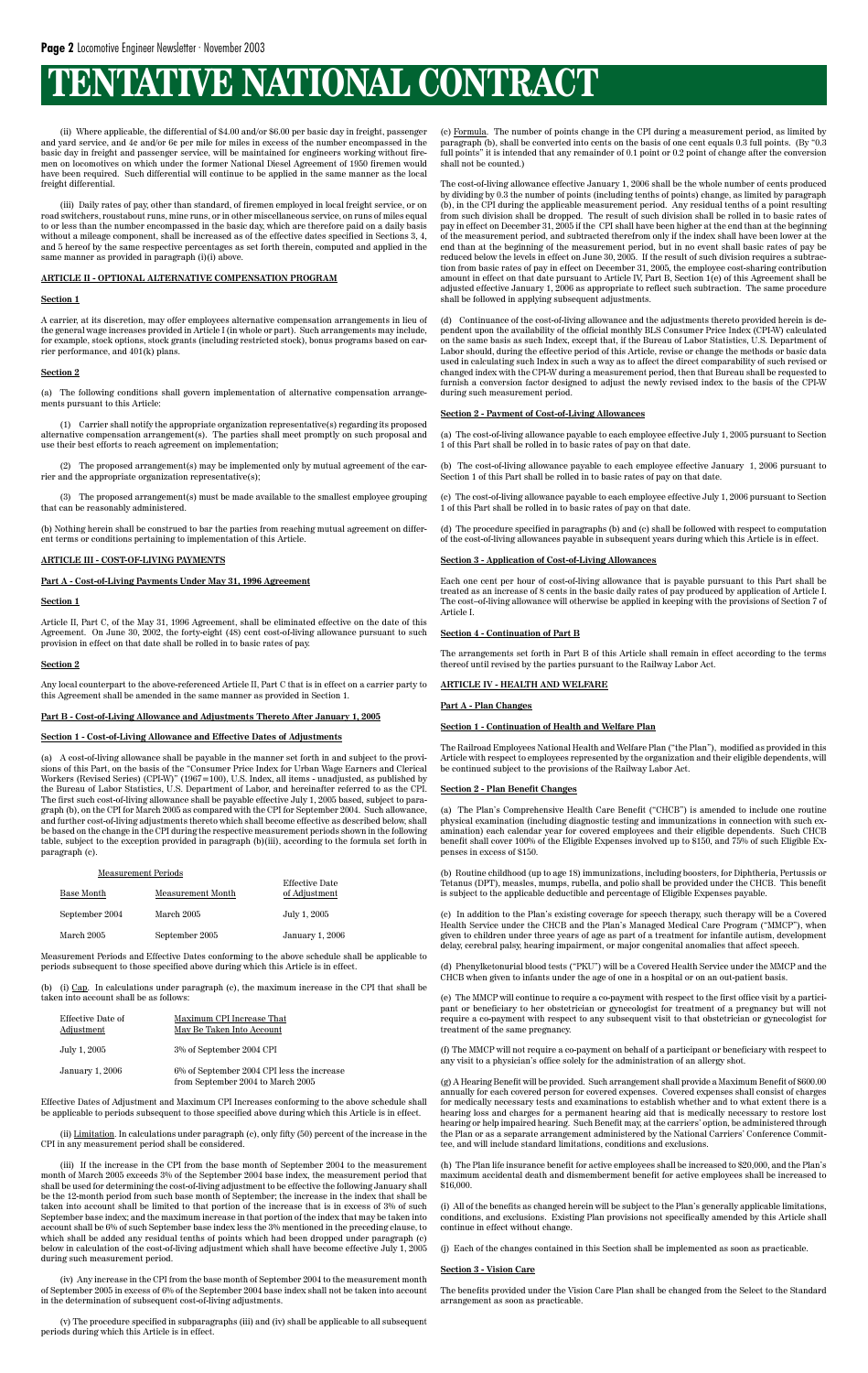(ii) Where applicable, the differential of \$4.00 and/or \$6.00 per basic day in freight, passenger and yard service, and 4¢ and/or 6¢ per mile for miles in excess of the number encompassed in the basic day in freight and passenger service, will be maintained for engineers working without firemen on locomotives on which under the former National Diesel Agreement of 1950 firemen would have been required. Such differential will continue to be applied in the same manner as the local freight differential.

(iii) Daily rates of pay, other than standard, of firemen employed in local freight service, or on road switchers, roustabout runs, mine runs, or in other miscellaneous service, on runs of miles equal to or less than the number encompassed in the basic day, which are therefore paid on a daily basis without a mileage component, shall be increased as of the effective dates specified in Sections 3, 4, and 5 hereof by the same respective percentages as set forth therein, computed and applied in the same manner as provided in paragraph (i)(i) above.

#### **ARTICLE II - OPTIONAL ALTERNATIVE COMPENSATION PROGRAM**

#### **Section 1**

A carrier, at its discretion, may offer employees alternative compensation arrangements in lieu of the general wage increases provided in Article I (in whole or part). Such arrangements may include, for example, stock options, stock grants (including restricted stock), bonus programs based on carrier performance, and 401(k) plans.

#### **Section 2**

(a) The following conditions shall govern implementation of alternative compensation arrangements pursuant to this Article:

(1) Carrier shall notify the appropriate organization representative(s) regarding its proposed alternative compensation arrangement(s). The parties shall meet promptly on such proposal and use their best efforts to reach agreement on implementation;

(2) The proposed arrangement(s) may be implemented only by mutual agreement of the carrier and the appropriate organization representative(s);

(3) The proposed arrangement(s) must be made available to the smallest employee grouping that can be reasonably administered.

(b) Nothing herein shall be construed to bar the parties from reaching mutual agreement on different terms or conditions pertaining to implementation of this Article.

#### **ARTICLE III - COST-OF-LIVING PAYMENTS**

#### **Part A - Cost-of-Living Payments Under May 31, 1996 Agreement**

#### **Section 1**

Article II, Part C, of the May 31, 1996 Agreement, shall be eliminated effective on the date of this Agreement. On June 30, 2002, the forty-eight (48) cent cost-of-living allowance pursuant to such provision in effect on that date shall be rolled in to basic rates of pay.

#### **Section 2**

Any local counterpart to the above-referenced Article II, Part C that is in effect on a carrier party to this Agreement shall be amended in the same manner as provided in Section 1.

#### **Part B - Cost-of-Living Allowance and Adjustments Thereto After January 1, 2005**

#### **Section 1 - Cost-of-Living Allowance and Effective Dates of Adjustments**

(a) A cost-of-living allowance shall be payable in the manner set forth in and subject to the provisions of this Part, on the basis of the "Consumer Price Index for Urban Wage Earners and Clerical Workers (Revised Series) (CPI-W)" (1967=100), U.S. Index, all items - unadjusted, as published by the Bureau of Labor Statistics, U.S. Department of Labor, and hereinafter referred to as the CPI. The first such cost-of-living allowance shall be payable effective July 1, 2005 based, subject to paragraph (b), on the CPI for March 2005 as compared with the CPI for September 2004. Such allowance, and further cost-of-living adjustments thereto which shall become effective as described below, shall be based on the change in the CPI during the respective measurement periods shown in the following table, subject to the exception provided in paragraph (b)(iii), according to the formula set forth in paragraph (c).

| <b>Measurement Periods</b><br>Base Month | Measurement Month | Effective Date<br>of Adjustment |
|------------------------------------------|-------------------|---------------------------------|
| September 2004                           | March 2005        | July 1, 2005                    |
| March 2005                               | September 2005    | January 1, 2006                 |

Measurement Periods and Effective Dates conforming to the above schedule shall be applicable to periods subsequent to those specified above during which this Article is in effect.

(b) (i) Cap. In calculations under paragraph (c), the maximum increase in the CPI that shall be taken into account shall be as follows:

| Effective Date of<br><b>Adjustment</b> | Maximum CPI Increase That<br>May Be Taken Into Account                          |
|----------------------------------------|---------------------------------------------------------------------------------|
| July 1, 2005                           | 3% of September 2004 CPI                                                        |
| January 1, 2006                        | 6% of September 2004 CPI less the increase<br>from September 2004 to March 2005 |

Effective Dates of Adjustment and Maximum CPI Increases conforming to the above schedule shall be applicable to periods subsequent to those specified above during which this Article is in effect.

(ii) Limitation. In calculations under paragraph (c), only fifty (50) percent of the increase in the CPI in any measurement period shall be considered.

(iii) If the increase in the CPI from the base month of September 2004 to the measurement month of March 2005 exceeds 3% of the September 2004 base index, the measurement period that shall be used for determining the cost-of-living adjustment to be effective the following January shall be the 12-month period from such base month of September; the increase in the index that shall be taken into account shall be limited to that portion of the increase that is in excess of 3% of such September base index; and the maximum increase in that portion of the index that may be taken into account shall be 6% of such September base index less the 3% mentioned in the preceding clause, to which shall be added any residual tenths of points which had been dropped under paragraph (c) below in calculation of the cost-of-living adjustment which shall have become effective July 1, 2005 during such measurement period.

(iv) Any increase in the CPI from the base month of September 2004 to the measurement month of September 2005 in excess of 6% of the September 2004 base index shall not be taken into account in the determination of subsequent cost-of-living adjustments.

(v) The procedure specified in subparagraphs (iii) and (iv) shall be applicable to all subsequent periods during which this Article is in effect.

(c) Formula. The number of points change in the CPI during a measurement period, as limited by paragraph (b), shall be converted into cents on the basis of one cent equals 0.3 full points. (By "0.3 full points" it is intended that any remainder of 0.1 point or 0.2 point of change after the conversion shall not be counted.)

The cost-of-living allowance effective January 1, 2006 shall be the whole number of cents produced by dividing by 0.3 the number of points (including tenths of points) change, as limited by paragraph (b), in the CPI during the applicable measurement period. Any residual tenths of a point resulting from such division shall be dropped. The result of such division shall be rolled in to basic rates of pay in effect on December 31, 2005 if the CPI shall have been higher at the end than at the beginning of the measurement period, and subtracted therefrom only if the index shall have been lower at the end than at the beginning of the measurement period, but in no event shall basic rates of pay be reduced below the levels in effect on June 30, 2005. If the result of such division requires a subtraction from basic rates of pay in effect on December 31, 2005, the employee cost-sharing contribution amount in effect on that date pursuant to Article IV, Part B, Section 1(e) of this Agreement shall be adjusted effective January 1, 2006 as appropriate to reflect such subtraction. The same procedure shall be followed in applying subsequent adjustments.

(d) Continuance of the cost-of-living allowance and the adjustments thereto provided herein is dependent upon the availability of the official monthly BLS Consumer Price Index (CPI-W) calculated on the same basis as such Index, except that, if the Bureau of Labor Statistics, U.S. Department of Labor should, during the effective period of this Article, revise or change the methods or basic data used in calculating such Index in such a way as to affect the direct comparability of such revised or changed index with the CPI-W during a measurement period, then that Bureau shall be requested to furnish a conversion factor designed to adjust the newly revised index to the basis of the CPI-W during such measurement period.

#### **Section 2 - Payment of Cost-of-Living Allowances**

(a) The cost-of-living allowance payable to each employee effective July 1, 2005 pursuant to Section 1 of this Part shall be rolled in to basic rates of pay on that date.

(b) The cost-of-living allowance payable to each employee effective January 1, 2006 pursuant to Section 1 of this Part shall be rolled in to basic rates of pay on that date.

(c) The cost-of-living allowance payable to each employee effective July 1, 2006 pursuant to Section 1 of this Part shall be rolled in to basic rates of pay on that date.

(d) The procedure specified in paragraphs (b) and (c) shall be followed with respect to computation of the cost-of-living allowances payable in subsequent years during which this Article is in effect.

#### **Section 3 - Application of Cost-of-Living Allowances**

Each one cent per hour of cost-of-living allowance that is payable pursuant to this Part shall be treated as an increase of 8 cents in the basic daily rates of pay produced by application of Article I. The cost–of-living allowance will otherwise be applied in keeping with the provisions of Section 7 of Article I.

#### **Section 4 - Continuation of Part B**

The arrangements set forth in Part B of this Article shall remain in effect according to the terms thereof until revised by the parties pursuant to the Railway Labor Act.

#### **ARTICLE IV - HEALTH AND WELFARE**

#### **Part A - Plan Changes**

#### **Section 1 - Continuation of Health and Welfare Plan**

The Railroad Employees National Health and Welfare Plan ("the Plan"), modified as provided in this Article with respect to employees represented by the organization and their eligible dependents, will be continued subject to the provisions of the Railway Labor Act.

#### **Section 2 - Plan Benefit Changes**

(a) The Plan's Comprehensive Health Care Benefit ("CHCB") is amended to include one routine physical examination (including diagnostic testing and immunizations in connection with such examination) each calendar year for covered employees and their eligible dependents. Such CHCB benefit shall cover 100% of the Eligible Expenses involved up to \$150, and 75% of such Eligible Expenses in excess of \$150.

(b) Routine childhood (up to age 18) immunizations, including boosters, for Diphtheria, Pertussis or Tetanus (DPT), measles, mumps, rubella, and polio shall be provided under the CHCB. This benefit is subject to the applicable deductible and percentage of Eligible Expenses payable.

(c) In addition to the Plan's existing coverage for speech therapy, such therapy will be a Covered Health Service under the CHCB and the Plan's Managed Medical Care Program ("MMCP"), when given to children under three years of age as part of a treatment for infantile autism, development delay, cerebral palsy, hearing impairment, or major congenital anomalies that affect speech.

(d) Phenylketonurial blood tests ("PKU") will be a Covered Health Service under the MMCP and the CHCB when given to infants under the age of one in a hospital or on an out-patient basis.

(e) The MMCP will continue to require a co-payment with respect to the first office visit by a participant or beneficiary to her obstetrician or gynecologist for treatment of a pregnancy but will not require a co-payment with respect to any subsequent visit to that obstetrician or gynecologist for treatment of the same pregnancy.

(f) The MMCP will not require a co-payment on behalf of a participant or beneficiary with respect to any visit to a physician's office solely for the administration of an allergy shot.

(g) A Hearing Benefit will be provided. Such arrangement shall provide a Maximum Benefit of \$600.00 annually for each covered person for covered expenses. Covered expenses shall consist of charges for medically necessary tests and examinations to establish whether and to what extent there is a hearing loss and charges for a permanent hearing aid that is medically necessary to restore lost hearing or help impaired hearing. Such Benefit may, at the carriers' option, be administered through the Plan or as a separate arrangement administered by the National Carriers' Conference Committee, and will include standard limitations, conditions and exclusions.

(h) The Plan life insurance benefit for active employees shall be increased to \$20,000, and the Plan's maximum accidental death and dismemberment benefit for active employees shall be increased to \$16,000.

(i) All of the benefits as changed herein will be subject to the Plan's generally applicable limitations, conditions, and exclusions. Existing Plan provisions not specifically amended by this Article shall continue in effect without change.

(j) Each of the changes contained in this Section shall be implemented as soon as practicable.

#### **Section 3 - Vision Care**

The benefits provided under the Vision Care Plan shall be changed from the Select to the Standard arrangement as soon as practicable.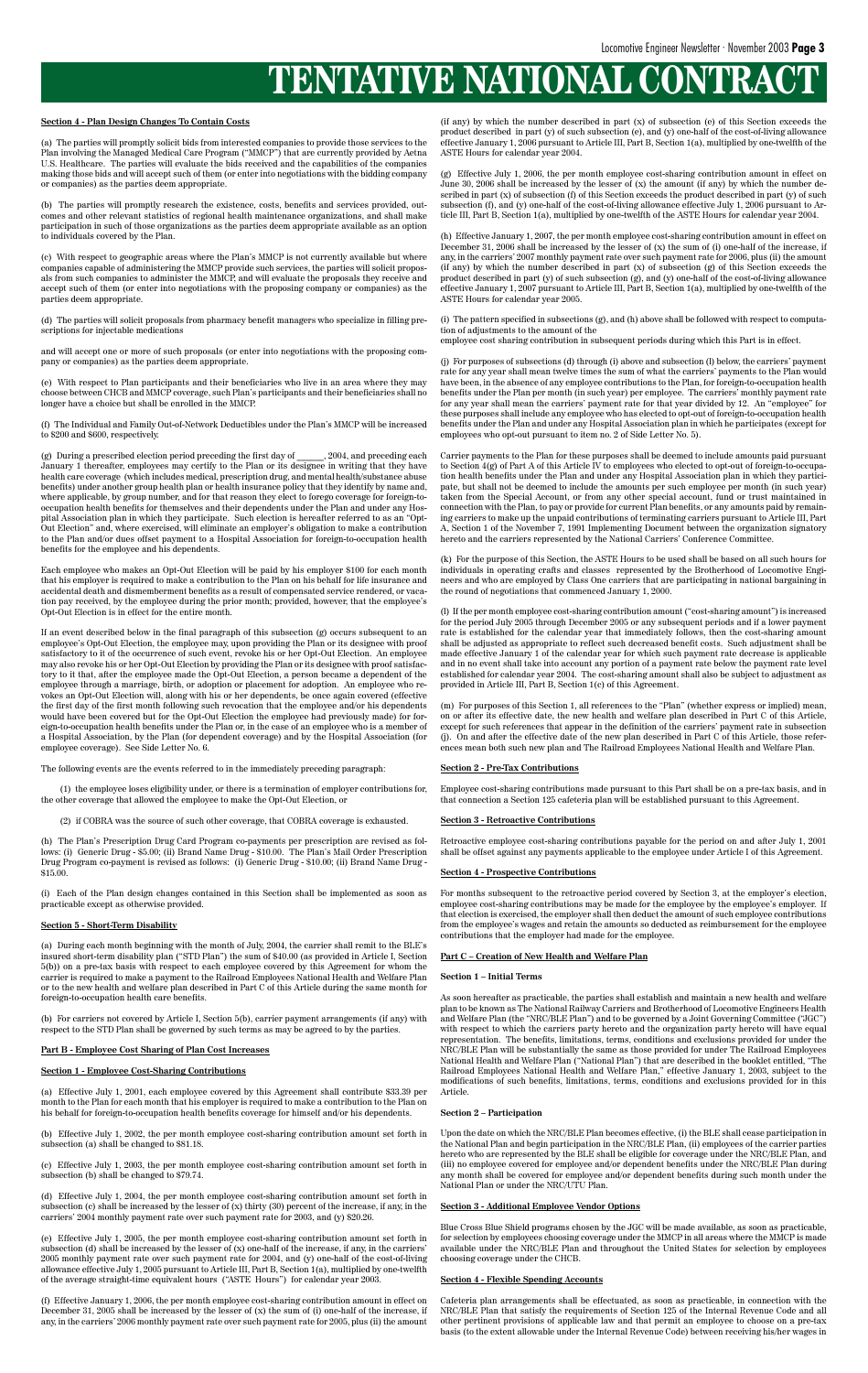#### **Section 4 - Plan Design Changes To Contain Costs**

(a) The parties will promptly solicit bids from interested companies to provide those services to the Plan involving the Managed Medical Care Program ("MMCP") that are currently provided by Aetna U.S. Healthcare. The parties will evaluate the bids received and the capabilities of the companies making those bids and will accept such of them (or enter into negotiations with the bidding company or companies) as the parties deem appropriate.

(b) The parties will promptly research the existence, costs, benefits and services provided, outcomes and other relevant statistics of regional health maintenance organizations, and shall make participation in such of those organizations as the parties deem appropriate available as an option to individuals covered by the Plan.

(c) With respect to geographic areas where the Plan's MMCP is not currently available but where companies capable of administering the MMCP provide such services, the parties will solicit proposals from such companies to administer the MMCP, and will evaluate the proposals they receive and accept such of them (or enter into negotiations with the proposing company or companies) as the parties deem appropriate.

(d) The parties will solicit proposals from pharmacy benefit managers who specialize in filling prescriptions for injectable medications

and will accept one or more of such proposals (or enter into negotiations with the proposing company or companies) as the parties deem appropriate.

(e) With respect to Plan participants and their beneficiaries who live in an area where they may choose between CHCB and MMCP coverage, such Plan's participants and their beneficiaries shall no longer have a choice but shall be enrolled in the MMCP.

(f) The Individual and Family Out-of-Network Deductibles under the Plan's MMCP will be increased to \$200 and \$600, respectively.

(g) During a prescribed election period preceding the first day of \_\_\_\_\_\_, 2004, and preceding each January 1 thereafter, employees may certify to the Plan or its designee in writing that they have health care coverage (which includes medical, prescription drug, and mental health/substance abuse benefits) under another group health plan or health insurance policy that they identify by name and, where applicable, by group number, and for that reason they elect to forego coverage for foreign-tooccupation health benefits for themselves and their dependents under the Plan and under any Hospital Association plan in which they participate. Such election is hereafter referred to as an "Opt-Out Election" and, where exercised, will eliminate an employer's obligation to make a contribution to the Plan and/or dues offset payment to a Hospital Association for foreign-to-occupation health benefits for the employee and his dependents.

Each employee who makes an Opt-Out Election will be paid by his employer \$100 for each month that his employer is required to make a contribution to the Plan on his behalf for life insurance and accidental death and dismemberment benefits as a result of compensated service rendered, or vacation pay received, by the employee during the prior month; provided, however, that the employee's Opt-Out Election is in effect for the entire month.

(b) Effective July 1, 2002, the per month employee cost-sharing contribution amount set forth in subsection (a) shall be changed to \$81.18.

If an event described below in the final paragraph of this subsection (g) occurs subsequent to an employee's Opt-Out Election, the employee may, upon providing the Plan or its designee with proof satisfactory to it of the occurrence of such event, revoke his or her Opt-Out Election. An employee may also revoke his or her Opt-Out Election by providing the Plan or its designee with proof satisfactory to it that, after the employee made the Opt-Out Election, a person became a dependent of the employee through a marriage, birth, or adoption or placement for adoption. An employee who revokes an Opt-Out Election will, along with his or her dependents, be once again covered (effective the first day of the first month following such revocation that the employee and/or his dependents would have been covered but for the Opt-Out Election the employee had previously made) for foreign-to-occupation health benefits under the Plan or, in the case of an employee who is a member of a Hospital Association, by the Plan (for dependent coverage) and by the Hospital Association (for employee coverage). See Side Letter No. 6.

The following events are the events referred to in the immediately preceding paragraph:

(1) the employee loses eligibility under, or there is a termination of employer contributions for, the other coverage that allowed the employee to make the Opt-Out Election, or

(2) if COBRA was the source of such other coverage, that COBRA coverage is exhausted.

(h) The Plan's Prescription Drug Card Program co-payments per prescription are revised as follows: (i) Generic Drug - \$5.00; (ii) Brand Name Drug - \$10.00. The Plan's Mail Order Prescription Drug Program co-payment is revised as follows: (i) Generic Drug - \$10.00; (ii) Brand Name Drug - \$15.00.

(i) Each of the Plan design changes contained in this Section shall be implemented as soon as practicable except as otherwise provided.

#### **Section 5 - Short-Term Disability**

(a) During each month beginning with the month of July, 2004, the carrier shall remit to the BLE's insured short-term disability plan ("STD Plan") the sum of \$40.00 (as provided in Article I, Section 5(b)) on a pre-tax basis with respect to each employee covered by this Agreement for whom the carrier is required to make a payment to the Railroad Employees National Health and Welfare Plan or to the new health and welfare plan described in Part C of this Article during the same month for foreign-to-occupation health care benefits.

(b) For carriers not covered by Article I, Section 5(b), carrier payment arrangements (if any) with respect to the STD Plan shall be governed by such terms as may be agreed to by the parties.

#### **Part B - Employee Cost Sharing of Plan Cost Increases**

#### **Section 1 - Employee Cost-Sharing Contributions**

(a) Effective July 1, 2001, each employee covered by this Agreement shall contribute \$33.39 per month to the Plan for each month that his employer is required to make a contribution to the Plan on his behalf for foreign-to-occupation health benefits coverage for himself and/or his dependents.

(c) Effective July 1, 2003, the per month employee cost-sharing contribution amount set forth in subsection (b) shall be changed to \$79.74.

(d) Effective July 1, 2004, the per month employee cost-sharing contribution amount set forth in subsection (c) shall be increased by the lesser of (x) thirty (30) percent of the increase, if any, in the carriers' 2004 monthly payment rate over such payment rate for 2003, and (y) \$20.26.

(e) Effective July 1, 2005, the per month employee cost-sharing contribution amount set forth in subsection (d) shall be increased by the lesser of (x) one-half of the increase, if any, in the carriers' 2005 monthly payment rate over such payment rate for 2004, and (y) one-half of the cost-of-living allowance effective July 1, 2005 pursuant to Article III, Part B, Section 1(a), multiplied by one-twelfth of the average straight-time equivalent hours ("ASTE Hours") for calendar year 2003.

(f) Effective January 1, 2006, the per month employee cost-sharing contribution amount in effect on December 31, 2005 shall be increased by the lesser of (x) the sum of (i) one-half of the increase, if any, in the carriers' 2006 monthly payment rate over such payment rate for 2005, plus (ii) the amount (if any) by which the number described in part (x) of subsection (e) of this Section exceeds the product described in part (y) of such subsection (e), and (y) one-half of the cost-of-living allowance effective January 1, 2006 pursuant to Article III, Part B, Section 1(a), multiplied by one-twelfth of the ASTE Hours for calendar year 2004.

(g) Effective July 1, 2006, the per month employee cost-sharing contribution amount in effect on June 30, 2006 shall be increased by the lesser of (x) the amount (if any) by which the number described in part (x) of subsection (f) of this Section exceeds the product described in part (y) of such subsection (f), and (y) one-half of the cost-of-living allowance effective July 1, 2006 pursuant to Article III, Part B, Section 1(a), multiplied by one-twelfth of the ASTE Hours for calendar year 2004.

(h) Effective January 1, 2007, the per month employee cost-sharing contribution amount in effect on December 31, 2006 shall be increased by the lesser of (x) the sum of (i) one-half of the increase, if any, in the carriers' 2007 monthly payment rate over such payment rate for 2006, plus (ii) the amount (if any) by which the number described in part (x) of subsection (g) of this Section exceeds the product described in part (y) of such subsection (g), and (y) one-half of the cost-of-living allowance effective January 1, 2007 pursuant to Article III, Part B, Section 1(a), multiplied by one-twelfth of the ASTE Hours for calendar year 2005.

(i) The pattern specified in subsections (g), and (h) above shall be followed with respect to computation of adjustments to the amount of the

employee cost sharing contribution in subsequent periods during which this Part is in effect.

(j) For purposes of subsections (d) through (i) above and subsection (l) below, the carriers' payment rate for any year shall mean twelve times the sum of what the carriers' payments to the Plan would have been, in the absence of any employee contributions to the Plan, for foreign-to-occupation health benefits under the Plan per month (in such year) per employee. The carriers' monthly payment rate for any year shall mean the carriers' payment rate for that year divided by 12. An "employee" for these purposes shall include any employee who has elected to opt-out of foreign-to-occupation health benefits under the Plan and under any Hospital Association plan in which he participates (except for employees who opt-out pursuant to item no. 2 of Side Letter No. 5).

Carrier payments to the Plan for these purposes shall be deemed to include amounts paid pursuant to Section 4(g) of Part A of this Article IV to employees who elected to opt-out of foreign-to-occupation health benefits under the Plan and under any Hospital Association plan in which they participate, but shall not be deemed to include the amounts per such employee per month (in such year) taken from the Special Account, or from any other special account, fund or trust maintained in connection with the Plan, to pay or provide for current Plan benefits, or any amounts paid by remaining carriers to make up the unpaid contributions of terminating carriers pursuant to Article III, Part A, Section 1 of the November 7, 1991 Implementing Document between the organization signatory hereto and the carriers represented by the National Carriers' Conference Committee.

(k) For the purpose of this Section, the ASTE Hours to be used shall be based on all such hours for individuals in operating crafts and classes represented by the Brotherhood of Locomotive Engineers and who are employed by Class One carriers that are participating in national bargaining in the round of negotiations that commenced January 1, 2000.

(l) If the per month employee cost-sharing contribution amount ("cost-sharing amount") is increased for the period July 2005 through December 2005 or any subsequent periods and if a lower payment rate is established for the calendar year that immediately follows, then the cost-sharing amount shall be adjusted as appropriate to reflect such decreased benefit costs. Such adjustment shall be made effective January 1 of the calendar year for which such payment rate decrease is applicable and in no event shall take into account any portion of a payment rate below the payment rate level established for calendar year 2004. The cost-sharing amount shall also be subject to adjustment as provided in Article III, Part B, Section 1(c) of this Agreement.

(m) For purposes of this Section 1, all references to the "Plan" (whether express or implied) mean, on or after its effective date, the new health and welfare plan described in Part C of this Article, except for such references that appear in the definition of the carriers' payment rate in subsection (j). On and after the effective date of the new plan described in Part C of this Article, those references mean both such new plan and The Railroad Employees National Health and Welfare Plan.

#### **Section 2 - Pre-Tax Contributions**

Employee cost-sharing contributions made pursuant to this Part shall be on a pre-tax basis, and in that connection a Section 125 cafeteria plan will be established pursuant to this Agreement.

#### **Section 3 - Retroactive Contributions**

Retroactive employee cost-sharing contributions payable for the period on and after July 1, 2001 shall be offset against any payments applicable to the employee under Article I of this Agreement.

#### **Section 4 - Prospective Contributions**

For months subsequent to the retroactive period covered by Section 3, at the employer's election, employee cost-sharing contributions may be made for the employee by the employee's employer. If that election is exercised, the employer shall then deduct the amount of such employee contributions from the employee's wages and retain the amounts so deducted as reimbursement for the employee contributions that the employer had made for the employee.

#### **Part C – Creation of New Health and Welfare Plan**

#### **Section 1 – Initial Terms**

As soon hereafter as practicable, the parties shall establish and maintain a new health and welfare plan to be known as The National Railway Carriers and Brotherhood of Locomotive Engineers Health

and Welfare Plan (the "NRC/BLE Plan") and to be governed by a Joint Governing Committee ("JGC") with respect to which the carriers party hereto and the organization party hereto will have equal representation. The benefits, limitations, terms, conditions and exclusions provided for under the NRC/BLE Plan will be substantially the same as those provided for under The Railroad Employees National Health and Welfare Plan ("National Plan") that are described in the booklet entitled, "The Railroad Employees National Health and Welfare Plan," effective January 1, 2003, subject to the modifications of such benefits, limitations, terms, conditions and exclusions provided for in this Article.

#### **Section 2 – Participation**

Upon the date on which the NRC/BLE Plan becomes effective, (i) the BLE shall cease participation in the National Plan and begin participation in the NRC/BLE Plan, (ii) employees of the carrier parties hereto who are represented by the BLE shall be eligible for coverage under the NRC/BLE Plan, and (iii) no employee covered for employee and/or dependent benefits under the NRC/BLE Plan during any month shall be covered for employee and/or dependent benefits during such month under the National Plan or under the NRC/UTU Plan.

#### **Section 3 - Additional Employee Vendor Options**

Blue Cross Blue Shield programs chosen by the JGC will be made available, as soon as practicable, for selection by employees choosing coverage under the MMCP in all areas where the MMCP is made available under the NRC/BLE Plan and throughout the United States for selection by employees choosing coverage under the CHCB.

#### **Section 4 - Flexible Spending Accounts**

Cafeteria plan arrangements shall be effectuated, as soon as practicable, in connection with the NRC/BLE Plan that satisfy the requirements of Section 125 of the Internal Revenue Code and all other pertinent provisions of applicable law and that permit an employee to choose on a pre-tax basis (to the extent allowable under the Internal Revenue Code) between receiving his/her wages in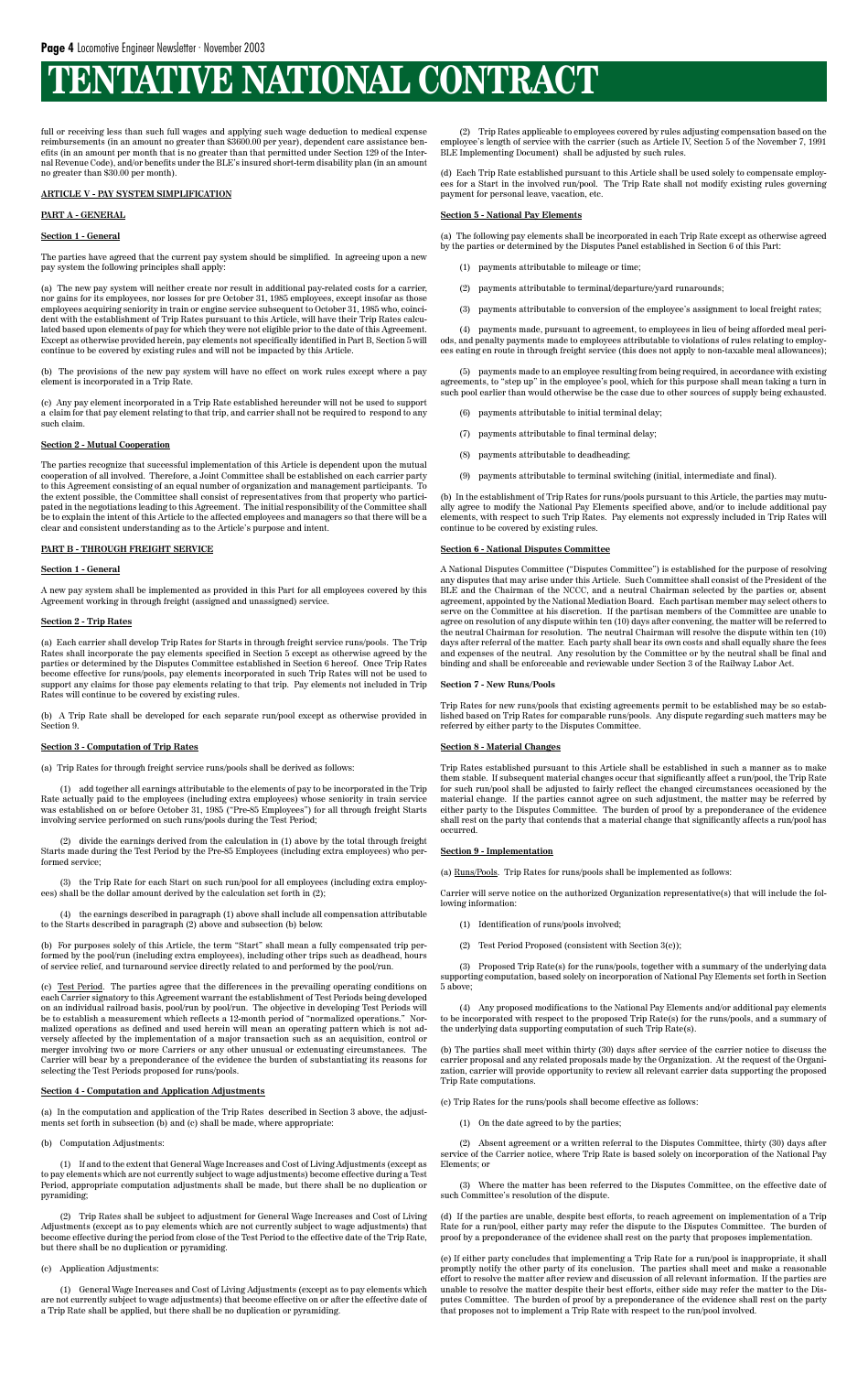full or receiving less than such full wages and applying such wage deduction to medical expense reimbursements (in an amount no greater than \$3600.00 per year), dependent care assistance benefits (in an amount per month that is no greater than that permitted under Section 129 of the Internal Revenue Code), and/or benefits under the BLE's insured short-term disability plan (in an amount no greater than \$30.00 per month).

#### **ARTICLE V - PAY SYSTEM SIMPLIFICATION**

#### **PART A - GENERAL**

#### **Section 1 - General**

The parties have agreed that the current pay system should be simplified. In agreeing upon a new pay system the following principles shall apply:

(a) The new pay system will neither create nor result in additional pay-related costs for a carrier, nor gains for its employees, nor losses for pre October 31, 1985 employees, except insofar as those employees acquiring seniority in train or engine service subsequent to October 31, 1985 who, coincident with the establishment of Trip Rates pursuant to this Article, will have their Trip Rates calculated based upon elements of pay for which they were not eligible prior to the date of this Agreement. Except as otherwise provided herein, pay elements not specifically identified in Part B, Section 5 will continue to be covered by existing rules and will not be impacted by this Article.

(b) The provisions of the new pay system will have no effect on work rules except where a pay element is incorporated in a Trip Rate.

(b) A Trip Rate shall be developed for each separate run/pool except as otherwise provided in Section 9.

(c) Any pay element incorporated in a Trip Rate established hereunder will not be used to support a claim for that pay element relating to that trip, and carrier shall not be required to respond to any such claim.

#### **Section 2 - Mutual Cooperation**

The parties recognize that successful implementation of this Article is dependent upon the mutual cooperation of all involved. Therefore, a Joint Committee shall be established on each carrier party to this Agreement consisting of an equal number of organization and management participants. To the extent possible, the Committee shall consist of representatives from that property who participated in the negotiations leading to this Agreement. The initial responsibility of the Committee shall be to explain the intent of this Article to the affected employees and managers so that there will be a clear and consistent understanding as to the Article's purpose and intent.

#### **PART B - THROUGH FREIGHT SERVICE**

#### **Section 1 - General**

A new pay system shall be implemented as provided in this Part for all employees covered by this Agreement working in through freight (assigned and unassigned) service.

#### **Section 2 - Trip Rates**

(a) Each carrier shall develop Trip Rates for Starts in through freight service runs/pools. The Trip Rates shall incorporate the pay elements specified in Section 5 except as otherwise agreed by the parties or determined by the Disputes Committee established in Section 6 hereof. Once Trip Rates become effective for runs/pools, pay elements incorporated in such Trip Rates will not be used to support any claims for those pay elements relating to that trip. Pay elements not included in Trip Rates will continue to be covered by existing rules.

#### **Section 3 - Computation of Trip Rates**

(a) Trip Rates for through freight service runs/pools shall be derived as follows:

(1) add together all earnings attributable to the elements of pay to be incorporated in the Trip Rate actually paid to the employees (including extra employees) whose seniority in train service was established on or before October 31, 1985 ("Pre-85 Employees") for all through freight Starts involving service performed on such runs/pools during the Test Period;

(2) divide the earnings derived from the calculation in (1) above by the total through freight Starts made during the Test Period by the Pre-85 Employees (including extra employees) who performed service;

(3) the Trip Rate for each Start on such run/pool for all employees (including extra employees) shall be the dollar amount derived by the calculation set forth in (2);

(4) the earnings described in paragraph (1) above shall include all compensation attributable to the Starts described in paragraph (2) above and subsection (b) below.

(b) For purposes solely of this Article, the term "Start" shall mean a fully compensated trip performed by the pool/run (including extra employees), including other trips such as deadhead, hours of service relief, and turnaround service directly related to and performed by the pool/run.

(c) Test Period. The parties agree that the differences in the prevailing operating conditions on each Carrier signatory to this Agreement warrant the establishment of Test Periods being developed on an individual railroad basis, pool/run by pool/run. The objective in developing Test Periods will be to establish a measurement which reflects a 12-month period of "normalized operations." Normalized operations as defined and used herein will mean an operating pattern which is not adversely affected by the implementation of a major transaction such as an acquisition, control or merger involving two or more Carriers or any other unusual or extenuating circumstances. The Carrier will bear by a preponderance of the evidence the burden of substantiating its reasons for selecting the Test Periods proposed for runs/pools.

#### **Section 4 - Computation and Application Adjustments**

Proposed Trip Rate(s) for the runs/pools, together with a summary of the underlying data supporting computation, based solely on incorporation of National Pay Elements set forth in Section 5 above;

(a) In the computation and application of the Trip Rates described in Section 3 above, the adjustments set forth in subsection (b) and (c) shall be made, where appropriate:

(b) Computation Adjustments:

(1) If and to the extent that General Wage Increases and Cost of Living Adjustments (except as to pay elements which are not currently subject to wage adjustments) become effective during a Test Period, appropriate computation adjustments shall be made, but there shall be no duplication or pyramiding;

(2) Trip Rates shall be subject to adjustment for General Wage Increases and Cost of Living Adjustments (except as to pay elements which are not currently subject to wage adjustments) that become effective during the period from close of the Test Period to the effective date of the Trip Rate, but there shall be no duplication or pyramiding.

(c) Application Adjustments:

(1) General Wage Increases and Cost of Living Adjustments (except as to pay elements which are not currently subject to wage adjustments) that become effective on or after the effective date of a Trip Rate shall be applied, but there shall be no duplication or pyramiding.

(2) Trip Rates applicable to employees covered by rules adjusting compensation based on the employee's length of service with the carrier (such as Article IV, Section 5 of the November 7, 1991 BLE Implementing Document) shall be adjusted by such rules.

(d) Each Trip Rate established pursuant to this Article shall be used solely to compensate employees for a Start in the involved run/pool. The Trip Rate shall not modify existing rules governing payment for personal leave, vacation, etc.

#### **Section 5 - National Pay Elements**

(a) The following pay elements shall be incorporated in each Trip Rate except as otherwise agreed by the parties or determined by the Disputes Panel established in Section 6 of this Part:

- (1) payments attributable to mileage or time;
- (2) payments attributable to terminal/departure/yard runarounds;
- (3) payments attributable to conversion of the employee's assignment to local freight rates;

(4) payments made, pursuant to agreement, to employees in lieu of being afforded meal periods, and penalty payments made to employees attributable to violations of rules relating to employees eating en route in through freight service (this does not apply to non-taxable meal allowances);

(5) payments made to an employee resulting from being required, in accordance with existing agreements, to "step up" in the employee's pool, which for this purpose shall mean taking a turn in such pool earlier than would otherwise be the case due to other sources of supply being exhausted.

- (6) payments attributable to initial terminal delay;
- (7) payments attributable to final terminal delay;
- (8) payments attributable to deadheading;
- (9) payments attributable to terminal switching (initial, intermediate and final).

(b) In the establishment of Trip Rates for runs/pools pursuant to this Article, the parties may mutually agree to modify the National Pay Elements specified above, and/or to include additional pay elements, with respect to such Trip Rates. Pay elements not expressly included in Trip Rates will continue to be covered by existing rules.

#### **Section 6 - National Disputes Committee**

A National Disputes Committee ("Disputes Committee") is established for the purpose of resolving any disputes that may arise under this Article. Such Committee shall consist of the President of the BLE and the Chairman of the NCCC, and a neutral Chairman selected by the parties or, absent agreement, appointed by the National Mediation Board. Each partisan member may select others to serve on the Committee at his discretion. If the partisan members of the Committee are unable to agree on resolution of any dispute within ten (10) days after convening, the matter will be referred to the neutral Chairman for resolution. The neutral Chairman will resolve the dispute within ten (10) days after referral of the matter. Each party shall bear its own costs and shall equally share the fees and expenses of the neutral. Any resolution by the Committee or by the neutral shall be final and binding and shall be enforceable and reviewable under Section 3 of the Railway Labor Act.

#### **Section 7 - New Runs/Pools**

Trip Rates for new runs/pools that existing agreements permit to be established may be so established based on Trip Rates for comparable runs/pools. Any dispute regarding such matters may be referred by either party to the Disputes Committee.

#### **Section 8 - Material Changes**

Trip Rates established pursuant to this Article shall be established in such a manner as to make them stable. If subsequent material changes occur that significantly affect a run/pool, the Trip Rate for such run/pool shall be adjusted to fairly reflect the changed circumstances occasioned by the material change. If the parties cannot agree on such adjustment, the matter may be referred by either party to the Disputes Committee. The burden of proof by a preponderance of the evidence shall rest on the party that contends that a material change that significantly affects a run/pool has occurred.

#### **Section 9 - Implementation**

(a) Runs/Pools. Trip Rates for runs/pools shall be implemented as follows:

Carrier will serve notice on the authorized Organization representative(s) that will include the following information:

- (1) Identification of runs/pools involved;
- (2) Test Period Proposed (consistent with Section 3(c));

(4) Any proposed modifications to the National Pay Elements and/or additional pay elements

to be incorporated with respect to the proposed Trip Rate(s) for the runs/pools, and a summary of the underlying data supporting computation of such Trip Rate(s).

(b) The parties shall meet within thirty (30) days after service of the carrier notice to discuss the carrier proposal and any related proposals made by the Organization. At the request of the Organization, carrier will provide opportunity to review all relevant carrier data supporting the proposed Trip Rate computations.

(c) Trip Rates for the runs/pools shall become effective as follows:

(1) On the date agreed to by the parties;

(2) Absent agreement or a written referral to the Disputes Committee, thirty (30) days after service of the Carrier notice, where Trip Rate is based solely on incorporation of the National Pay Elements; or

(3) Where the matter has been referred to the Disputes Committee, on the effective date of such Committee's resolution of the dispute.

(d) If the parties are unable, despite best efforts, to reach agreement on implementation of a Trip Rate for a run/pool, either party may refer the dispute to the Disputes Committee. The burden of proof by a preponderance of the evidence shall rest on the party that proposes implementation.

(e) If either party concludes that implementing a Trip Rate for a run/pool is inappropriate, it shall promptly notify the other party of its conclusion. The parties shall meet and make a reasonable effort to resolve the matter after review and discussion of all relevant information. If the parties are unable to resolve the matter despite their best efforts, either side may refer the matter to the Disputes Committee. The burden of proof by a preponderance of the evidence shall rest on the party that proposes not to implement a Trip Rate with respect to the run/pool involved.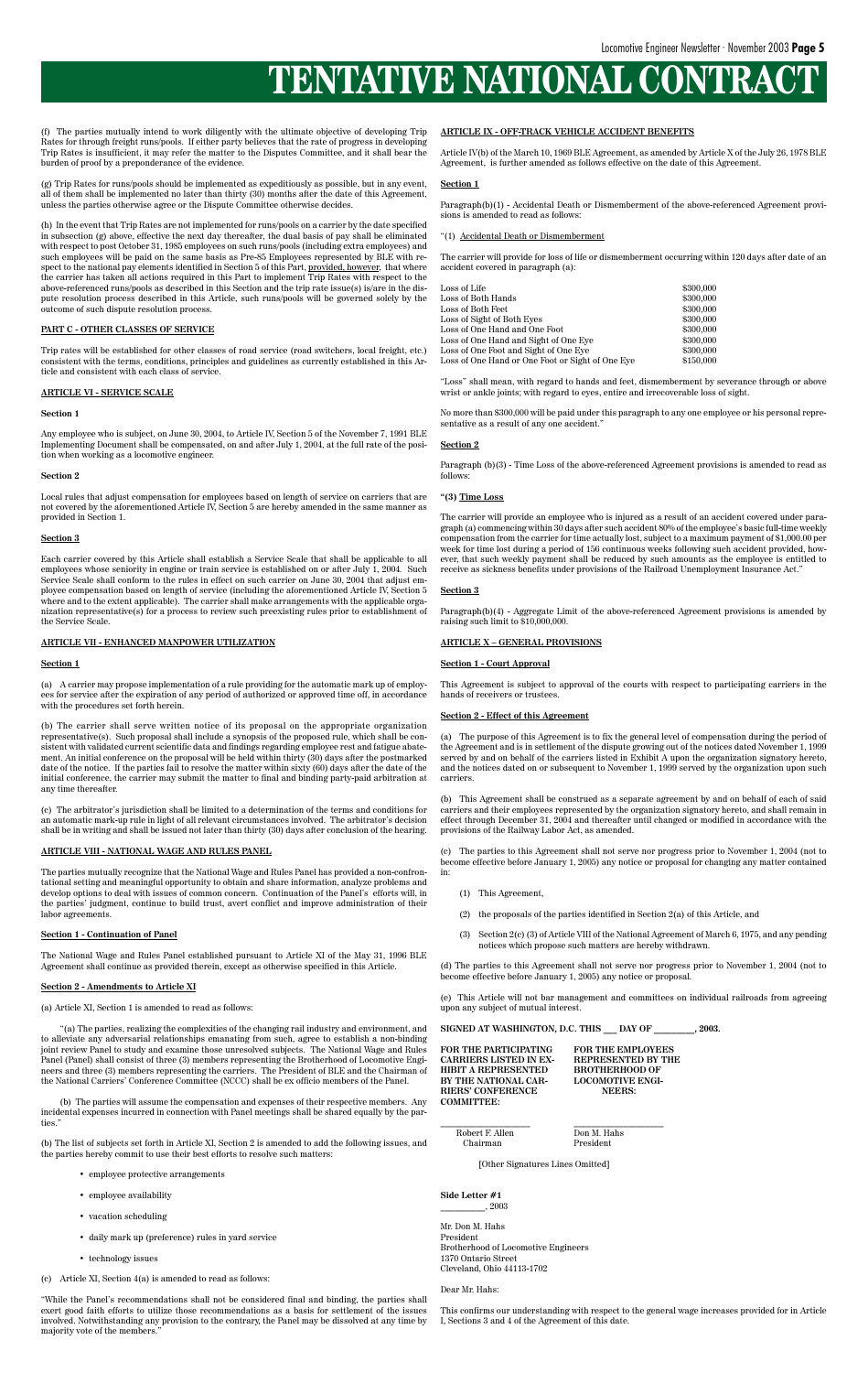(f) The parties mutually intend to work diligently with the ultimate objective of developing Trip Rates for through freight runs/pools. If either party believes that the rate of progress in developing Trip Rates is insufficient, it may refer the matter to the Disputes Committee, and it shall bear the burden of proof by a preponderance of the evidence.

(g) Trip Rates for runs/pools should be implemented as expeditiously as possible, but in any event, all of them shall be implemented no later than thirty (30) months after the date of this Agreement, unless the parties otherwise agree or the Dispute Committee otherwise decides.

(h) In the event that Trip Rates are not implemented for runs/pools on a carrier by the date specified in subsection (g) above, effective the next day thereafter*,* the dual basis of pay shall be eliminated with respect to post October 31, 1985 employees on such runs/pools (including extra employees) and such employees will be paid on the same basis as Pre-85 Employees represented by BLE with respect to the national pay elements identified in Section 5 of this Part, <u>provided, however</u>, that where the carrier has taken all actions required in this Part to implement Trip Rates with respect to the above-referenced runs/pools as described in this Section and the trip rate issue(s) is/are in the dispute resolution process described in this Article, such runs/pools will be governed solely by the outcome of such dispute resolution process.

#### **PART C - OTHER CLASSES OF SERVICE**

Trip rates will be established for other classes of road service (road switchers, local freight, etc.) consistent with the terms, conditions, principles and guidelines as currently established in this Article and consistent with each class of service.

#### **ARTICLE VI - SERVICE SCALE**

#### **Section 1**

Any employee who is subject, on June 30, 2004, to Article IV, Section 5 of the November 7, 1991 BLE Implementing Document shall be compensated, on and after July 1, 2004, at the full rate of the position when working as a locomotive engineer.

#### **Section 2**

Local rules that adjust compensation for employees based on length of service on carriers that are not covered by the aforementioned Article IV, Section 5 are hereby amended in the same manner as provided in Section 1.

#### **Section 3**

Each carrier covered by this Article shall establish a Service Scale that shall be applicable to all employees whose seniority in engine or train service is established on or after July 1, 2004*.* Such Service Scale shall conform to the rules in effect on such carrier on June 30, 2004 that adjust employee compensation based on length of service (including the aforementioned Article IV, Section 5 where and to the extent applicable). The carrier shall make arrangements with the applicable organization representative(s) for a process to review such preexisting rules prior to establishment of the Service Scale.

(b) The parties will assume the compensation and expenses of their respective members. Any incidental expenses incurred in connection with Panel meetings shall be shared equally by the parties.

#### **ARTICLE VII - ENHANCED MANPOWER UTILIZATION**

#### **Section 1**

(a) A carrier may propose implementation of a rule providing for the automatic mark up of employees for service after the expiration of any period of authorized or approved time off, in accordance with the procedures set forth herein.

(b) The carrier shall serve written notice of its proposal on the appropriate organization representative(s). Such proposal shall include a synopsis of the proposed rule, which shall be consistent with validated current scientific data and findings regarding employee rest and fatigue abatement. An initial conference on the proposal will be held within thirty (30) days after the postmarked date of the notice. If the parties fail to resolve the matter within sixty (60) days after the date of the initial conference, the carrier may submit the matter to final and binding party-paid arbitration at any time thereafter.

(c) The arbitrator's jurisdiction shall be limited to a determination of the terms and conditions for an automatic mark-up rule in light of all relevant circumstances involved. The arbitrator's decision shall be in writing and shall be issued not later than thirty (30) days after conclusion of the hearing.

#### **ARTICLE VIII - NATIONAL WAGE AND RULES PANEL**

The parties mutually recognize that the National Wage and Rules Panel has provided a non-confrontational setting and meaningful opportunity to obtain and share information, analyze problems and develop options to deal with issues of common concern. Continuation of the Panel's efforts will, in the parties' judgment, continue to build trust, avert conflict and improve administration of their labor agreements.

#### **Section 1 - Continuation of Panel**

The National Wage and Rules Panel established pursuant to Article XI of the May 31, 1996 BLE Agreement shall continue as provided therein, except as otherwise specified in this Article.

#### **Section 2 - Amendments to Article XI**

#### (a) Article XI, Section 1 is amended to read as follows:

"(a) The parties, realizing the complexities of the changing rail industry and environment, and to alleviate any adversarial relationships emanating from such, agree to establish a non-binding joint review Panel to study and examine those unresolved subjects. The National Wage and Rules Panel (Panel) shall consist of three (3) members representing the Brotherhood of Locomotive Engineers and three (3) members representing the carriers. The President of BLE and the Chairman of the National Carriers' Conference Committee (NCCC) shall be ex officio members of the Panel.

> **Side Letter #1**  $\_$ , 2003

(b) The list of subjects set forth in Article XI, Section 2 is amended to add the following issues, and the parties hereby commit to use their best efforts to resolve such matters:

- employee protective arrangements
- employee availability
- vacation scheduling
- daily mark up (preference) rules in yard service
- technology issues

(c) Article XI, Section 4(a) is amended to read as follows:

"While the Panel's recommendations shall not be considered final and binding, the parties shall exert good faith efforts to utilize those recommendations as a basis for settlement of the issues involved. Notwithstanding any provision to the contrary, the Panel may be dissolved at any time by majority vote of the members."

#### **ARTICLE IX - OFF-TRACK VEHICLE ACCIDENT BENEFITS**

Article IV(b) of the March 10, 1969 BLE Agreement, as amended by Article X of the July 26, 1978 BLE Agreement, is further amended as follows effective on the date of this Agreement.

#### **Section 1**

Paragraph(b)(1) - Accidental Death or Dismemberment of the above-referenced Agreement provisions is amended to read as follows:

#### "(1) Accidental Death or Dismemberment

The carrier will provide for loss of life or dismemberment occurring within 120 days after date of an accident covered in paragraph (a):

| Loss of Life                                     | \$300,000 |
|--------------------------------------------------|-----------|
| Loss of Both Hands                               | \$300,000 |
| Loss of Both Feet                                | \$300,000 |
| Loss of Sight of Both Eves                       | \$300,000 |
| Loss of One Hand and One Foot                    | \$300,000 |
| Loss of One Hand and Sight of One Eve            | \$300,000 |
| Loss of One Foot and Sight of One Eve            | \$300,000 |
| Loss of One Hand or One Foot or Sight of One Eve | \$150,000 |
|                                                  |           |

"Loss" shall mean, with regard to hands and feet, dismemberment by severance through or above wrist or ankle joints; with regard to eyes, entire and irrecoverable loss of sight.

No more than \$300,000 will be paid under this paragraph to any one employee or his personal representative as a result of any one accident."

#### **Section 2**

Paragraph (b)(3) - Time Loss of the above-referenced Agreement provisions is amended to read as follows:

#### **"(3) Time Loss**

The carrier will provide an employee who is injured as a result of an accident covered under paragraph (a) commencing within 30 days after such accident 80% of the employee's basic full-time weekly compensation from the carrier for time actually lost, subject to a maximum payment of \$1,000.00 per week for time lost during a period of 156 continuous weeks following such accident provided, however, that such weekly payment shall be reduced by such amounts as the employee is entitled to receive as sickness benefits under provisions of the Railroad Unemployment Insurance Act."

#### **Section 3**

Paragraph(b)(4) - Aggregate Limit of the above-referenced Agreement provisions is amended by raising such limit to \$10,000,000.

#### **ARTICLE X – GENERAL PROVISIONS**

#### **Section 1 - Court Approval**

This Agreement is subject to approval of the courts with respect to participating carriers in the hands of receivers or trustees.

#### **Section 2 - Effect of this Agreement**

(a) The purpose of this Agreement is to fix the general level of compensation during the period of the Agreement and is in settlement of the dispute growing out of the notices dated November 1, 1999 served by and on behalf of the carriers listed in Exhibit A upon the organization signatory hereto, and the notices dated on or subsequent to November 1, 1999 served by the organization upon such carriers.

(b) This Agreement shall be construed as a separate agreement by and on behalf of each of said carriers and their employees represented by the organization signatory hereto, and shall remain in effect through December 31, 2004 and thereafter until changed or modified in accordance with the provisions of the Railway Labor Act, as amended.

(c) The parties to this Agreement shall not serve nor progress prior to November 1, 2004 (not to become effective before January 1, 2005) any notice or proposal for changing any matter contained in:

- (1) This Agreement,
- (2) the proposals of the parties identified in Section 2(a) of this Article, and
- (3) Section 2(c) (3) of Article VIII of the National Agreement of March 6, 1975, and any pending notices which propose such matters are hereby withdrawn.

(d) The parties to this Agreement shall not serve nor progress prior to November 1, 2004 (not to become effective before January 1, 2005) any notice or proposal.

(e) This Article will not bar management and committees on individual railroads from agreeing upon any subject of mutual interest.

| SIGNED AT WASHINGTON, D.C. THIS        DAY OF | .2003.                    |  |
|-----------------------------------------------|---------------------------|--|
| FOR THE PARTICIPATING                         | <b>FOR THE EMPLOYEES</b>  |  |
| CARRIERS LISTED IN EX-                        | <b>REPRESENTED BY THE</b> |  |
| HIBIT A REPRESENTED                           | <b>BROTHERHOOD OF</b>     |  |
| BY THE NATIONAL CAR-                          | <b>LOCOMOTIVE ENGI-</b>   |  |
| RIERS' CONFERENCE                             | NEERS:                    |  |
| <b>COMMITTEE:</b>                             |                           |  |
|                                               |                           |  |

| Robert F. Allen | Don M. Hahs |
|-----------------|-------------|
| Chairman        | President   |

[Other Signatures Lines Omitted]

Mr. Don M. Hahs President Brotherhood of Locomotive Engineers 1370 Ontario Street Cleveland, Ohio 44113-1702

#### Dear Mr. Hahs:

This confirms our understanding with respect to the general wage increases provided for in Article I, Sections 3 and 4 of the Agreement of this date.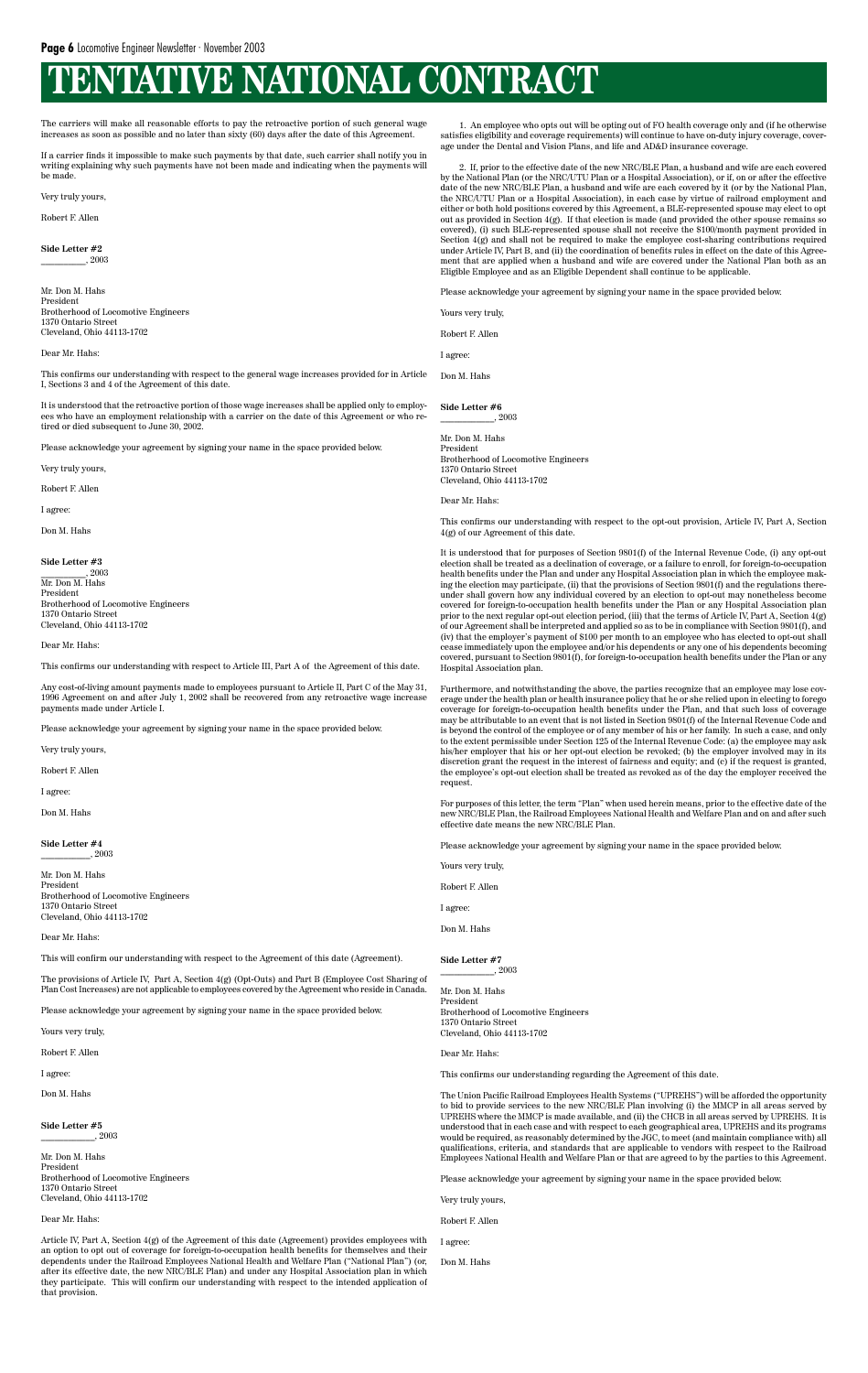The carriers will make all reasonable efforts to pay the retroactive portion of such general wage increases as soon as possible and no later than sixty (60) days after the date of this Agreement.

If a carrier finds it impossible to make such payments by that date, such carrier shall notify you in writing explaining why such payments have not been made and indicating when the payments will be made.

Very truly yours,

Robert F. Allen

**Side Letter #2** \_\_\_\_\_\_\_\_\_\_, 2003

Mr. Don M. Hahs President Brotherhood of Locomotive Engineers 1370 Ontario Street Cleveland, Ohio 44113-1702

Dear Mr. Hahs:

This confirms our understanding with respect to the general wage increases provided for in Article I, Sections 3 and 4 of the Agreement of this date.

It is understood that the retroactive portion of those wage increases shall be applied only to employees who have an employment relationship with a carrier on the date of this Agreement or who retired or died subsequent to June 30, 2002.

Please acknowledge your agreement by signing your name in the space provided below.

Very truly yours,

Robert F. Allen

I agree:

Don M. Hahs

#### **Side Letter #3**

\_\_\_\_\_\_\_\_\_\_, 2003 Mr. Don M. Hahs President Brotherhood of Locomotive Engineers 1370 Ontario Street Cleveland, Ohio 44113-1702

#### Dear Mr. Hahs:

This confirms our understanding with respect to Article III, Part A of the Agreement of this date.

Any cost-of-living amount payments made to employees pursuant to Article II, Part C of the May 31, 1996 Agreement on and after July 1, 2002 shall be recovered from any retroactive wage increase payments made under Article I.

Please acknowledge your agreement by signing your name in the space provided below.

Very truly yours,

Robert F. Allen

I agree:

Don M. Hahs

**Side Letter #4** \_\_\_\_\_\_\_\_\_\_\_, 2003

Mr. Don M. Hahs President Brotherhood of Locomotive Engineers 1370 Ontario Street Cleveland, Ohio 44113-1702

Dear Mr. Hahs:

This will confirm our understanding with respect to the Agreement of this date (Agreement).

The provisions of Article IV, Part A, Section 4(g) (Opt-Outs) and Part B (Employee Cost Sharing of Plan Cost Increases) are not applicable to employees covered by the Agreement who reside in Canada.

Please acknowledge your agreement by signing your name in the space provided below.

Yours very truly,

Robert F. Allen

I agree:

Don M. Hahs

**Side Letter #5** \_\_\_\_\_\_\_\_\_\_\_\_, 2003

Mr. Don M. Hahs President Brotherhood of Locomotive Engineers 1370 Ontario Street Cleveland, Ohio 44113-1702

Dear Mr. Hahs:

Article IV, Part A, Section 4(g) of the Agreement of this date (Agreement) provides employees with an option to opt out of coverage for foreign-to-occupation health benefits for themselves and their dependents under the Railroad Employees National Health and Welfare Plan ("National Plan") (or, after its effective date, the new NRC/BLE Plan) and under any Hospital Association plan in which they participate. This will confirm our understanding with respect to the intended application of that provision.

1. An employee who opts out will be opting out of FO health coverage only and (if he otherwise satisfies eligibility and coverage requirements) will continue to have on-duty injury coverage, coverage under the Dental and Vision Plans, and life and AD&D insurance coverage.

2. If, prior to the effective date of the new NRC/BLE Plan, a husband and wife are each covered by the National Plan (or the NRC/UTU Plan or a Hospital Association), or if, on or after the effective date of the new NRC/BLE Plan, a husband and wife are each covered by it (or by the National Plan, the NRC/UTU Plan or a Hospital Association), in each case by virtue of railroad employment and either or both hold positions covered by this Agreement, a BLE-represented spouse may elect to opt out as provided in Section 4(g). If that election is made (and provided the other spouse remains so covered), (i) such BLE-represented spouse shall not receive the \$100/month payment provided in Section  $4(g)$  and shall not be required to make the employee cost-sharing contributions required under Article IV, Part B, and (ii) the coordination of benefits rules in effect on the date of this Agreement that are applied when a husband and wife are covered under the National Plan both as an Eligible Employee and as an Eligible Dependent shall continue to be applicable.

Please acknowledge your agreement by signing your name in the space provided below.

Yours very truly,

Robert F. Allen

I agree:

Don M. Hahs

**Side Letter #6** \_\_\_\_\_\_\_\_\_\_\_\_, 2003

Mr. Don M. Hahs President Brotherhood of Locomotive Engineers 1370 Ontario Street Cleveland, Ohio 44113-1702

Dear Mr. Hahs:

This confirms our understanding with respect to the opt-out provision, Article IV, Part A, Section 4(g) of our Agreement of this date.

It is understood that for purposes of Section 9801(f) of the Internal Revenue Code, (i) any opt-out election shall be treated as a declination of coverage, or a failure to enroll, for foreign-to-occupation health benefits under the Plan and under any Hospital Association plan in which the employee making the election may participate, (ii) that the provisions of Section 9801(f) and the regulations thereunder shall govern how any individual covered by an election to opt-out may nonetheless become covered for foreign-to-occupation health benefits under the Plan or any Hospital Association plan prior to the next regular opt-out election period, (iii) that the terms of Article IV, Part A, Section 4(g) of our Agreement shall be interpreted and applied so as to be in compliance with Section 9801(f), and (iv) that the employer's payment of \$100 per month to an employee who has elected to opt-out shall cease immediately upon the employee and/or his dependents or any one of his dependents becoming covered, pursuant to Section 9801(f), for foreign-to-occupation health benefits under the Plan or any Hospital Association plan.

Furthermore, and notwithstanding the above, the parties recognize that an employee may lose coverage under the health plan or health insurance policy that he or she relied upon in electing to forego coverage for foreign-to-occupation health benefits under the Plan, and that such loss of coverage may be attributable to an event that is not listed in Section 9801(f) of the Internal Revenue Code and is beyond the control of the employee or of any member of his or her family. In such a case, and only to the extent permissible under Section 125 of the Internal Revenue Code: (a) the employee may ask his/her employer that his or her opt-out election be revoked; (b) the employer involved may in its discretion grant the request in the interest of fairness and equity; and (c) if the request is granted, the employee's opt-out election shall be treated as revoked as of the day the employer received the request.

For purposes of this letter, the term "Plan" when used herein means, prior to the effective date of the new NRC/BLE Plan, the Railroad Employees National Health and Welfare Plan and on and after such effective date means the new NRC/BLE Plan.

Please acknowledge your agreement by signing your name in the space provided below.

Yours very truly,

Robert F. Allen

| -<br>I |
|--------|

Don M. Hahs

**Side Letter #7**

\_\_\_\_\_\_\_\_\_\_\_\_, 2003

Mr. Don M. Hahs President

Brotherhood of Locomotive Engineers 1370 Ontario Street Cleveland, Ohio 44113-1702

Dear Mr. Hahs:

This confirms our understanding regarding the Agreement of this date.

The Union Pacific Railroad Employees Health Systems ("UPREHS") will be afforded the opportunity to bid to provide services to the new NRC/BLE Plan involving (i) the MMCP in all areas served by UPREHS where the MMCP is made available, and (ii) the CHCB in all areas served by UPREHS. It is understood that in each case and with respect to each geographical area, UPREHS and its programs would be required, as reasonably determined by the JGC, to meet (and maintain compliance with) all qualifications, criteria, and standards that are applicable to vendors with respect to the Railroad Employees National Health and Welfare Plan or that are agreed to by the parties to this Agreement.

Please acknowledge your agreement by signing your name in the space provided below.

Very truly yours,

Robert F. Allen

I agree:

Don M. Hahs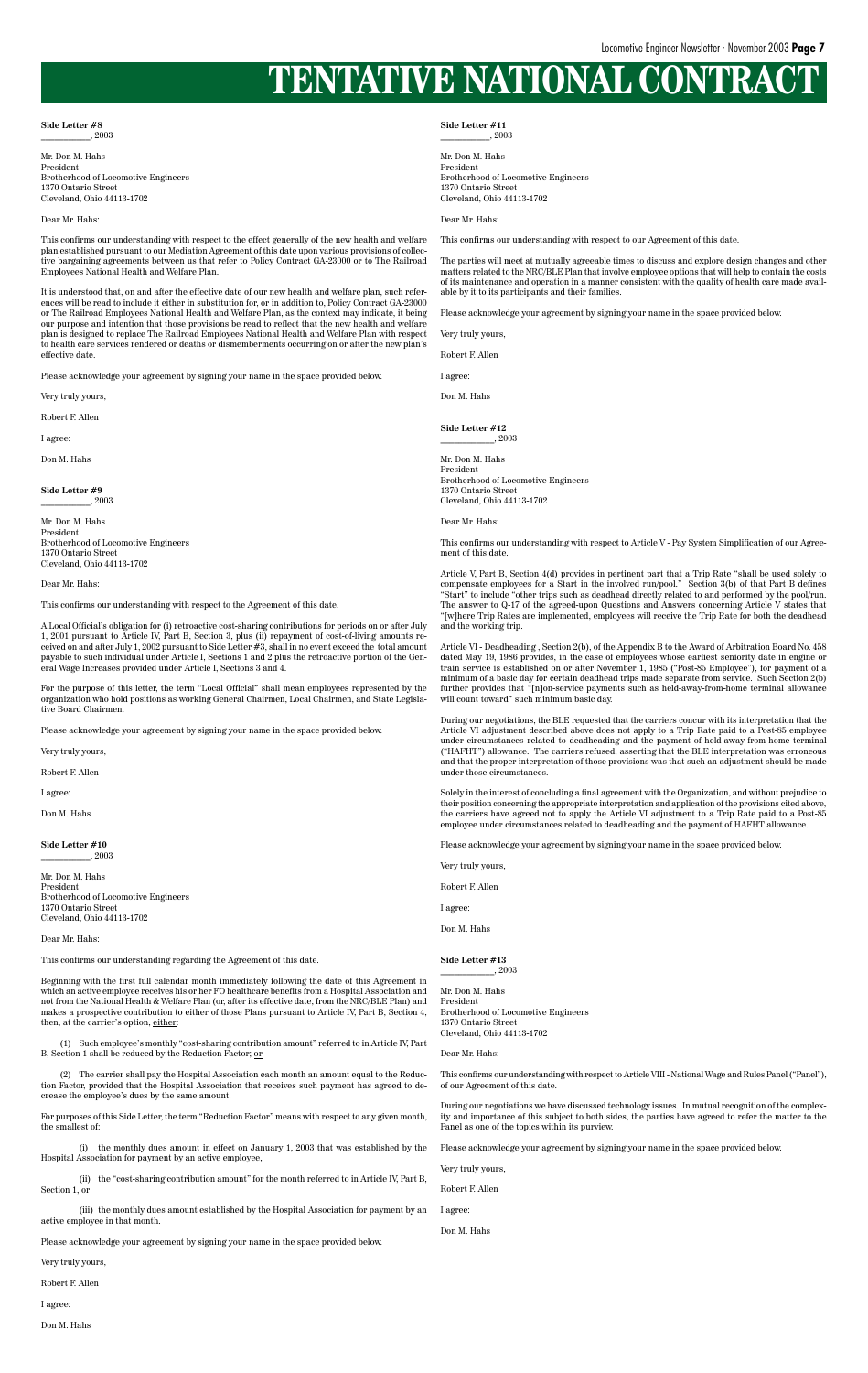#### **Side Letter #8** \_\_\_\_\_\_\_\_\_\_\_, 2003

Mr. Don M. Hahs President Brotherhood of Locomotive Engineers 1370 Ontario Street Cleveland, Ohio 44113-1702

#### Dear Mr. Hahs:

This confirms our understanding with respect to the effect generally of the new health and welfare plan established pursuant to our Mediation Agreement of this date upon various provisions of collective bargaining agreements between us that refer to Policy Contract GA-23000 or to The Railroad Employees National Health and Welfare Plan.

It is understood that, on and after the effective date of our new health and welfare plan, such references will be read to include it either in substitution for, or in addition to, Policy Contract GA-23000 or The Railroad Employees National Health and Welfare Plan, as the context may indicate, it being our purpose and intention that those provisions be read to reflect that the new health and welfare plan is designed to replace The Railroad Employees National Health and Welfare Plan with respect to health care services rendered or deaths or dismemberments occurring on or after the new plan's effective date.

**Side Letter #10**  $\frac{1}{2003}$ 

Please acknowledge your agreement by signing your name in the space provided below.

Very truly yours,

Robert F. Allen

I agree:

Don M. Hahs

**Side Letter #9** \_\_\_\_\_\_\_\_\_\_\_, 2003

Mr. Don M. Hahs President Brotherhood of Locomotive Engineers 1370 Ontario Street Cleveland, Ohio 44113-1702

Dear Mr. Hahs:

This confirms our understanding with respect to the Agreement of this date.

A Local Official's obligation for (i) retroactive cost-sharing contributions for periods on or after July 1, 2001 pursuant to Article IV, Part B, Section 3, plus (ii) repayment of cost-of-living amounts received on and after July 1, 2002 pursuant to Side Letter #3, shall in no event exceed the total amount payable to such individual under Article I, Sections 1 and 2 plus the retroactive portion of the General Wage Increases provided under Article I, Sections 3 and 4.

For the purpose of this letter, the term "Local Official" shall mean employees represented by the organization who hold positions as working General Chairmen, Local Chairmen, and State Legislative Board Chairmen.

Please acknowledge your agreement by signing your name in the space provided below.

Very truly yours,

Robert F. Allen

I agree:

Don M. Hahs

**Side Letter #12**  $\frac{1}{2003}$ 

Mr. Don M. Hahs President Brotherhood of Locomotive Engineers 1370 Ontario Street Cleveland, Ohio 44113-1702

Dear Mr. Hahs:

This confirms our understanding regarding the Agreement of this date.

Beginning with the first full calendar month immediately following the date of this Agreement in which an active employee receives his or her FO healthcare benefits from a Hospital Association and not from the National Health & Welfare Plan (or, after its effective date, from the NRC/BLE Plan) and makes a prospective contribution to either of those Plans pursuant to Article IV, Part B, Section 4, then, at the carrier's option, either:

(1) Such employee's monthly "cost-sharing contribution amount" referred to in Article IV, Part B, Section 1 shall be reduced by the Reduction Factor; or

(2) The carrier shall pay the Hospital Association each month an amount equal to the Reduction Factor, provided that the Hospital Association that receives such payment has agreed to decrease the employee's dues by the same amount.

For purposes of this Side Letter, the term "Reduction Factor" means with respect to any given month, the smallest of:

(i) the monthly dues amount in effect on January 1, 2003 that was established by the Hospital Association for payment by an active employee,

(ii) the "cost-sharing contribution amount" for the month referred to in Article IV, Part B, Section 1, or

(iii) the monthly dues amount established by the Hospital Association for payment by an active employee in that month.

Please acknowledge your agreement by signing your name in the space provided below.

Very truly yours,

Robert F. Allen

I agree:

Don M. Hahs

**Side Letter #11** \_\_\_\_\_\_\_\_\_\_\_, 2003

Mr. Don M. Hahs President Brotherhood of Locomotive Engineers 1370 Ontario Street Cleveland, Ohio 44113-1702

Dear Mr. Hahs:

This confirms our understanding with respect to our Agreement of this date.

The parties will meet at mutually agreeable times to discuss and explore design changes and other matters related to the NRC/BLE Plan that involve employee options that will help to contain the costs of its maintenance and operation in a manner consistent with the quality of health care made available by it to its participants and their families.

Please acknowledge your agreement by signing your name in the space provided below.

Very truly yours,

Robert F. Allen

I agree:

Don M. Hahs

Mr. Don M. Hahs President Brotherhood of Locomotive Engineers 1370 Ontario Street Cleveland, Ohio 44113-1702

Dear Mr. Hahs:

This confirms our understanding with respect to Article V - Pay System Simplification of our Agreement of this date.

Article V, Part B, Section 4(d) provides in pertinent part that a Trip Rate "shall be used solely to compensate employees for a Start in the involved run/pool." Section 3(b) of that Part B defines "Start" to include "other trips such as deadhead directly related to and performed by the pool/run. The answer to Q-17 of the agreed-upon Questions and Answers concerning Article V states that "[w]here Trip Rates are implemented, employees will receive the Trip Rate for both the deadhead and the working trip.

Article VI - Deadheading , Section 2(b), of the Appendix B to the Award of Arbitration Board No. 458 dated May 19, 1986 provides, in the case of employees whose earliest seniority date in engine or train service is established on or after November 1, 1985 ("Post-85 Employee"), for payment of a minimum of a basic day for certain deadhead trips made separate from service. Such Section 2(b) further provides that "[n]on-service payments such as held-away-from-home terminal allowance will count toward" such minimum basic day.

During our negotiations, the BLE requested that the carriers concur with its interpretation that the Article VI adjustment described above does not apply to a Trip Rate paid to a Post-85 employee under circumstances related to deadheading and the payment of held-away-from-home terminal ("HAFHT") allowance. The carriers refused, asserting that the BLE interpretation was erroneous and that the proper interpretation of those provisions was that such an adjustment should be made under those circumstances.

Solely in the interest of concluding a final agreement with the Organization, and without prejudice to their position concerning the appropriate interpretation and application of the provisions cited above, the carriers have agreed not to apply the Article VI adjustment to a Trip Rate paid to a Post-85 employee under circumstances related to deadheading and the payment of HAFHT allowance.

Please acknowledge your agreement by signing your name in the space provided below.

Very truly yours,

Robert F. Allen

| арте |  |
|------|--|
|------|--|

Don M. Hahs

**Side Letter #13**

\_\_\_\_\_\_\_\_\_\_\_\_, 2003

Mr. Don M. Hahs President

Brotherhood of Locomotive Engineers 1370 Ontario Street Cleveland, Ohio 44113-1702

Dear Mr. Hahs:

This confirms our understanding with respect to Article VIII - National Wage and Rules Panel ("Panel"), of our Agreement of this date.

During our negotiations we have discussed technology issues. In mutual recognition of the complexity and importance of this subject to both sides, the parties have agreed to refer the matter to the Panel as one of the topics within its purview.

Please acknowledge your agreement by signing your name in the space provided below.

Very truly yours,

Robert F. Allen

I agree:

Don M. Hahs